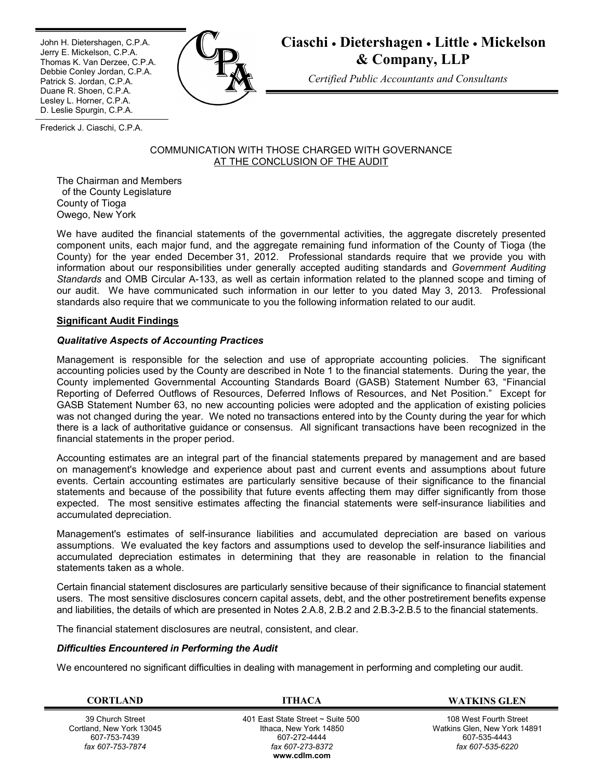Ī John H. Dietershagen, C.P.A. Jerry E. Mickelson, C.P.A. Thomas K. Van Derzee, C.P.A. Debbie Conley Jordan, C.P.A. Patrick S. Jordan, C.P.A. Duane R. Shoen, C.P.A. Lesley L. Horner, C.P.A. D. Leslie Spurgin, C.P.A.



# **Ciaschi Dietershagen Little Mickelson & Company, LLP**

*Certified Public Accountants and Consultants*

Frederick J. Ciaschi, C.P.A.

# COMMUNICATION WITH THOSE CHARGED WITH GOVERNANCE AT THE CONCLUSION OF THE AUDIT

The Chairman and Members of the County Legislature County of Tioga Owego, New York

We have audited the financial statements of the governmental activities, the aggregate discretely presented component units, each major fund, and the aggregate remaining fund information of the County of Tioga (the County) for the year ended December 31, 2012. Professional standards require that we provide you with information about our responsibilities under generally accepted auditing standards and *Government Auditing Standards* and OMB Circular A-133, as well as certain information related to the planned scope and timing of our audit. We have communicated such information in our letter to you dated May 3, 2013. Professional standards also require that we communicate to you the following information related to our audit.

# **Significant Audit Findings**

# *Qualitative Aspects of Accounting Practices*

Management is responsible for the selection and use of appropriate accounting policies. The significant accounting policies used by the County are described in Note 1 to the financial statements. During the year, the County implemented Governmental Accounting Standards Board (GASB) Statement Number 63, "Financial Reporting of Deferred Outflows of Resources, Deferred Inflows of Resources, and Net Position." Except for GASB Statement Number 63, no new accounting policies were adopted and the application of existing policies was not changed during the year. We noted no transactions entered into by the County during the year for which there is a lack of authoritative guidance or consensus. All significant transactions have been recognized in the financial statements in the proper period.

Accounting estimates are an integral part of the financial statements prepared by management and are based on management's knowledge and experience about past and current events and assumptions about future events. Certain accounting estimates are particularly sensitive because of their significance to the financial statements and because of the possibility that future events affecting them may differ significantly from those expected. The most sensitive estimates affecting the financial statements were self-insurance liabilities and accumulated depreciation.

Management's estimates of self-insurance liabilities and accumulated depreciation are based on various assumptions. We evaluated the key factors and assumptions used to develop the self-insurance liabilities and accumulated depreciation estimates in determining that they are reasonable in relation to the financial statements taken as a whole.

Certain financial statement disclosures are particularly sensitive because of their significance to financial statement users. The most sensitive disclosures concern capital assets, debt, and the other postretirement benefits expense and liabilities, the details of which are presented in Notes 2.A.8, 2.B.2 and 2.B.3-2.B.5 to the financial statements.

The financial statement disclosures are neutral, consistent, and clear.

# *Difficulties Encountered in Performing the Audit*

We encountered no significant difficulties in dealing with management in performing and completing our audit.

**CORTLAND ITHACA WATKINS GLEN**

39 Church Street Cortland, New York 13045 607-753-7439 *fax 607-753-7874*

 401 East State Street ~ Suite 500 Ithaca, New York 14850 607-272-4444 *fax 607-273-8372* **w[ww.cdlm.com](www.cdlm.com)**

108 West Fourth Street Watkins Glen, New York 14891 607-535-4443 *fax 607-535-6220*